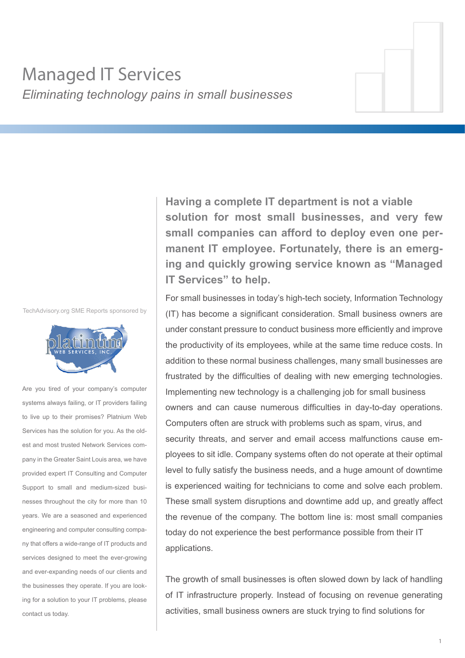# Managed IT Services *Eliminating technology pains in small businesses*

TechAdvisory.org SME Reports sponsored by



Are you tired of your company's computer systems always failing, or IT providers failing to live up to their promises? Platnium Web Services has the solution for you. As the oldest and most trusted Network Services company in the Greater Saint Louis area, we have provided expert IT Consulting and Computer Support to small and medium-sized businesses throughout the city for more than 10 years. We are a seasoned and experienced engineering and computer consulting company that offers a wide-range of IT products and services designed to meet the ever-growing and ever-expanding needs of our clients and the businesses they operate. If you are looking for a solution to your IT problems, please contact us today.

**Having a complete IT department is not a viable solution for most small businesses, and very few small companies can afford to deploy even one permanent IT employee. Fortunately, there is an emerging and quickly growing service known as "Managed IT Services" to help.**

For small businesses in today's high-tech society, Information Technology (IT) has become a significant consideration. Small business owners are under constant pressure to conduct business more efficiently and improve the productivity of its employees, while at the same time reduce costs. In addition to these normal business challenges, many small businesses are frustrated by the difficulties of dealing with new emerging technologies. Implementing new technology is a challenging job for small business owners and can cause numerous difficulties in day-to-day operations. Computers often are struck with problems such as spam, virus, and security threats, and server and email access malfunctions cause employees to sit idle. Company systems often do not operate at their optimal level to fully satisfy the business needs, and a huge amount of downtime is experienced waiting for technicians to come and solve each problem. These small system disruptions and downtime add up, and greatly affect the revenue of the company. The bottom line is: most small companies today do not experience the best performance possible from their IT applications.

The growth of small businesses is often slowed down by lack of handling of IT infrastructure properly. Instead of focusing on revenue generating activities, small business owners are stuck trying to find solutions for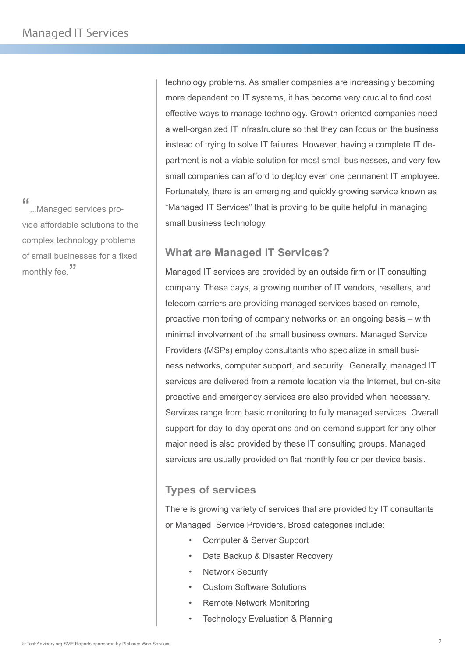"...Managed services provide affordable solutions to the complex technology problems of small businesses for a fixed monthly fee.<sup>"</sup>

technology problems. As smaller companies are increasingly becoming more dependent on IT systems, it has become very crucial to find cost effective ways to manage technology. Growth-oriented companies need a well-organized IT infrastructure so that they can focus on the business instead of trying to solve IT failures. However, having a complete IT department is not a viable solution for most small businesses, and very few small companies can afford to deploy even one permanent IT employee. Fortunately, there is an emerging and quickly growing service known as "Managed IT Services" that is proving to be quite helpful in managing small business technology.

## **What are Managed IT Services?**

Managed IT services are provided by an outside firm or IT consulting company. These days, a growing number of IT vendors, resellers, and telecom carriers are providing managed services based on remote, proactive monitoring of company networks on an ongoing basis – with minimal involvement of the small business owners. Managed Service Providers (MSPs) employ consultants who specialize in small business networks, computer support, and security. Generally, managed IT services are delivered from a remote location via the Internet, but on-site proactive and emergency services are also provided when necessary. Services range from basic monitoring to fully managed services. Overall support for day-to-day operations and on-demand support for any other major need is also provided by these IT consulting groups. Managed services are usually provided on flat monthly fee or per device basis.

# **Types of services**

There is growing variety of services that are provided by IT consultants or Managed Service Providers. Broad categories include:

- Computer & Server Support
- Data Backup & Disaster Recovery
- **Network Security**
- Custom Software Solutions
- Remote Network Monitoring
- Technology Evaluation & Planning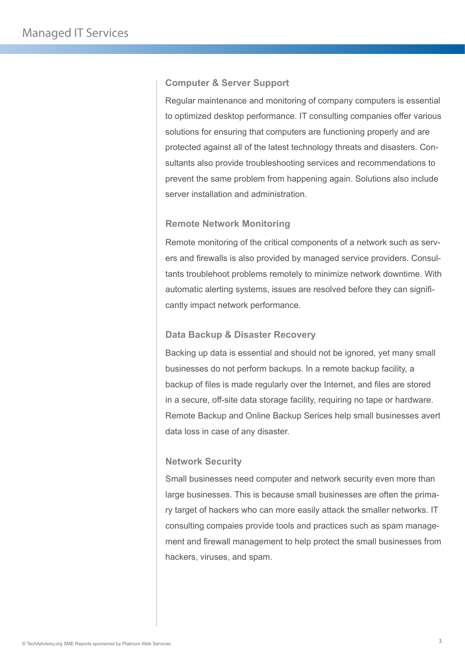#### **Computer & Server Support**

Regular maintenance and monitoring of company computers is essential to optimized desktop performance. IT consulting companies offer various solutions for ensuring that computers are functioning properly and are protected against all of the latest technology threats and disasters. Consultants also provide troubleshooting services and recommendations to prevent the same problem from happening again. Solutions also include server installation and administration.

#### **Remote Network Monitoring**

Remote monitoring of the critical components of a network such as servers and firewalls is also provided by managed service providers. Consultants troublehoot problems remotely to minimize network downtime. With automatic alerting systems, issues are resolved before they can significantly impact network performance.

#### **Data Backup & Disaster Recovery**

Backing up data is essential and should not be ignored, yet many small businesses do not perform backups. In a remote backup facility, a backup of files is made regularly over the Internet, and files are stored in a secure, off-site data storage facility, requiring no tape or hardware. Remote Backup and Online Backup Serices help small businesses avert data loss in case of any disaster.

### **Network Security**

Small businesses need computer and network security even more than large businesses. This is because small businesses are often the primary target of hackers who can more easily attack the smaller networks. IT consulting compaies provide tools and practices such as spam management and firewall management to help protect the small businesses from hackers, viruses, and spam.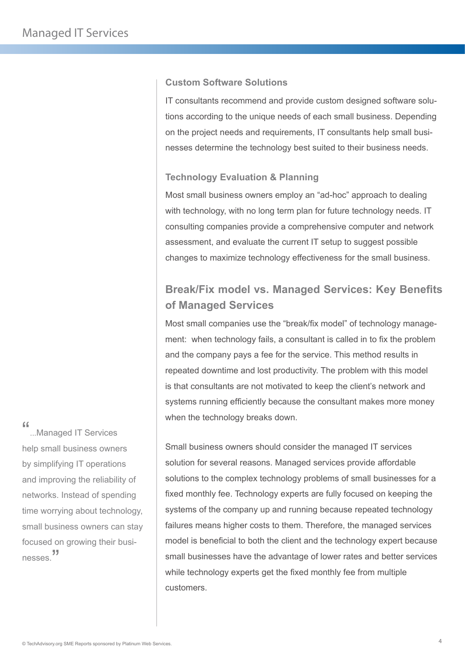### **Custom Software Solutions**

IT consultants recommend and provide custom designed software solutions according to the unique needs of each small business. Depending on the project needs and requirements, IT consultants help small businesses determine the technology best suited to their business needs.

#### **Technology Evaluation & Planning**

Most small business owners employ an "ad-hoc" approach to dealing with technology, with no long term plan for future technology needs. IT consulting companies provide a comprehensive computer and network assessment, and evaluate the current IT setup to suggest possible changes to maximize technology effectiveness for the small business.

# **Break/Fix model vs. Managed Services: Key Benefits of Managed Services**

Most small companies use the "break/fix model" of technology management: when technology fails, a consultant is called in to fix the problem and the company pays a fee for the service. This method results in repeated downtime and lost productivity. The problem with this model is that consultants are not motivated to keep the client's network and systems running efficiently because the consultant makes more money when the technology breaks down.

Small business owners should consider the managed IT services solution for several reasons. Managed services provide affordable solutions to the complex technology problems of small businesses for a fixed monthly fee. Technology experts are fully focused on keeping the systems of the company up and running because repeated technology failures means higher costs to them. Therefore, the managed services model is beneficial to both the client and the technology expert because small businesses have the advantage of lower rates and better services while technology experts get the fixed monthly fee from multiple customers.

"...Managed IT Services help small business owners by simplifying IT operations and improving the reliability of networks. Instead of spending time worrying about technology, small business owners can stay focused on growing their businesses.<sup>"</sup>